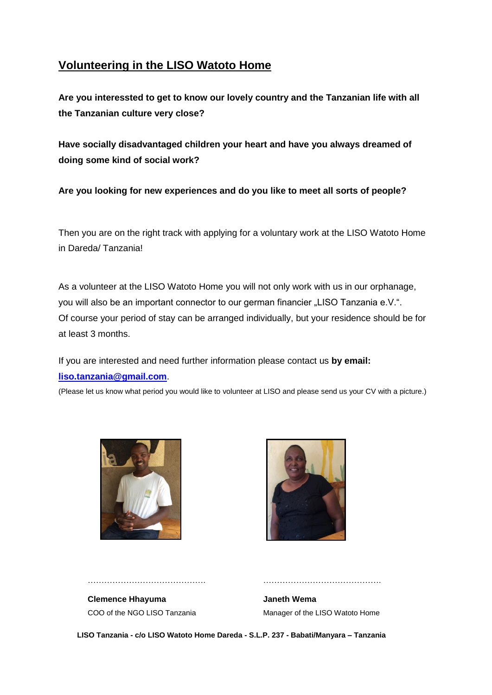# **Volunteering in the LISO Watoto Home**

**Are you interessted to get to know our lovely country and the Tanzanian life with all the Tanzanian culture very close?** 

**Have socially disadvantaged children your heart and have you always dreamed of doing some kind of social work?**

**Are you looking for new experiences and do you like to meet all sorts of people?**

Then you are on the right track with applying for a voluntary work at the LISO Watoto Home in Dareda/ Tanzania!

As a volunteer at the LISO Watoto Home you will not only work with us in our orphanage, you will also be an important connector to our german financier "LISO Tanzania e.V.". Of course your period of stay can be arranged individually, but your residence should be for at least 3 months.

## If you are interested and need further information please contact us **by email: [liso.tanzania@gmail.com](mailto:liso.tanzania@gmail.com)**.

(Please let us know what period you would like to volunteer at LISO and please send us your CV with a picture.)





**Clemence Hhayuma Janeth Wema**

……………………………………. …………………………………….

COO of the NGO LISO Tanzania Manager of the LISO Watoto Home

 **LISO Tanzania - c/o LISO Watoto Home Dareda - S.L.P. 237 - Babati/Manyara – Tanzania**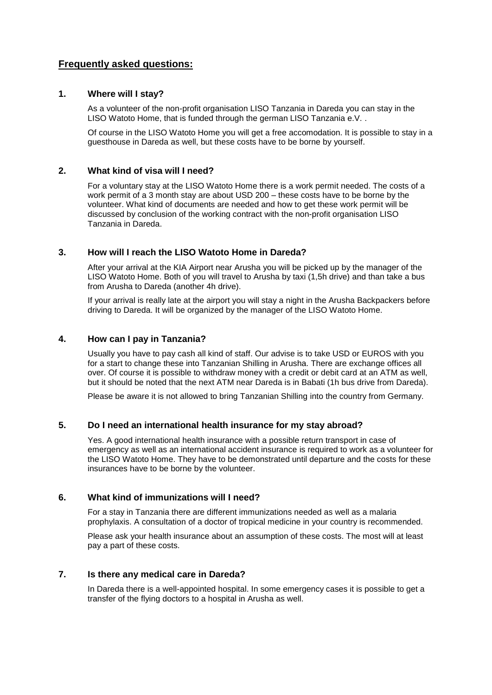### **Frequently asked questions:**

#### **1. Where will I stay?**

As a volunteer of the non-profit organisation LISO Tanzania in Dareda you can stay in the LISO Watoto Home, that is funded through the german LISO Tanzania e.V. .

Of course in the LISO Watoto Home you will get a free accomodation. It is possible to stay in a guesthouse in Dareda as well, but these costs have to be borne by yourself.

#### **2. What kind of visa will I need?**

For a voluntary stay at the LISO Watoto Home there is a work permit needed. The costs of a work permit of a 3 month stay are about USD 200 – these costs have to be borne by the volunteer. What kind of documents are needed and how to get these work permit will be discussed by conclusion of the working contract with the non-profit organisation LISO Tanzania in Dareda.

#### **3. How will I reach the LISO Watoto Home in Dareda?**

After your arrival at the KIA Airport near Arusha you will be picked up by the manager of the LISO Watoto Home. Both of you will travel to Arusha by taxi (1,5h drive) and than take a bus from Arusha to Dareda (another 4h drive).

If your arrival is really late at the airport you will stay a night in the Arusha Backpackers before driving to Dareda. It will be organized by the manager of the LISO Watoto Home.

#### **4. How can I pay in Tanzania?**

Usually you have to pay cash all kind of staff. Our advise is to take USD or EUROS with you for a start to change these into Tanzanian Shilling in Arusha. There are exchange offices all over. Of course it is possible to withdraw money with a credit or debit card at an ATM as well, but it should be noted that the next ATM near Dareda is in Babati (1h bus drive from Dareda).

Please be aware it is not allowed to bring Tanzanian Shilling into the country from Germany.

#### **5. Do I need an international health insurance for my stay abroad?**

Yes. A good international health insurance with a possible return transport in case of emergency as well as an international accident insurance is required to work as a volunteer for the LISO Watoto Home. They have to be demonstrated until departure and the costs for these insurances have to be borne by the volunteer.

#### **6. What kind of immunizations will I need?**

For a stay in Tanzania there are different immunizations needed as well as a malaria prophylaxis. A consultation of a doctor of tropical medicine in your country is recommended.

Please ask your health insurance about an assumption of these costs. The most will at least pay a part of these costs.

### **7. Is there any medical care in Dareda?**

In Dareda there is a well-appointed hospital. In some emergency cases it is possible to get a transfer of the flying doctors to a hospital in Arusha as well.